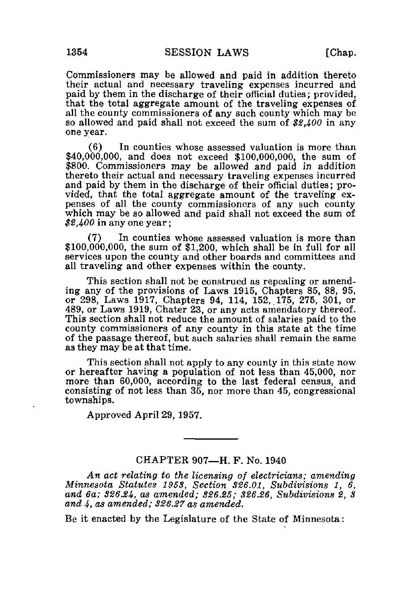Commissioners may be allowed and paid in addition thereto their actual and necessary traveling expenses incurred and paid by them in the discharge of their official duties; provided, that the total aggregate amount of the traveling expenses of all the county commissioners of any such county which may be so allowed and paid shall not exceed the sum of \$2,400 in any one year.

(6) In counties whose assessed valuation is more than \$40,000,000, and does not exceed \$100,000,000, the sum of \$800. Commissioners may be allowed and paid in addition thereto their actual and necessary traveling expenses incurred and paid by them in the discharge of their official duties; provided, that the total aggregate amount of the traveling expenses of all the county commissioners of any such county which may be so allowed and paid shall not exceed the sum of \$2,400 in any one year;

(7) In counties whose assessed valuation is more than  $$100,000,000$ , the sum of  $$1,200$ , which shall be in full for all services upon the county and other boards and committees and all traveling and other expenses within the county.

This section shall not be construed as repealing or amending any of the provisions of Laws 1915, Chapters 85, 88, 95, or 298, Laws 1917, Chapters 94, 114, 152, 175, 275, 301, or 489, or Laws 1919, Chater 23, or any acts amendatory thereof. This section shall not reduce the amount of salaries paid to the county commissioners of any county in this state at the time of the passage thereof, but such salaries shall remain the same as they may be at that time.

This section shall not apply to any county in this state now or hereafter having a population of not less than 45,000, nor more than 60,000, according to the last federal census, and consisting of not less than 35, nor more than 45, congressional townships.

Approved April 29, 1957.

## CHAPTER 907—H. F. No. 1940

An act relating to the licensing of electricians; amending Minnesota Statutes 1953, Section 326.01, Subdivisions 1,  $\delta$ , and 6a; S2634, as amended; 326.25; 326.26, Subdivisions 2, 3 and 4, as amended; 326,27 as amended.

Be it enacted by the Legislature of the State of Minnesota: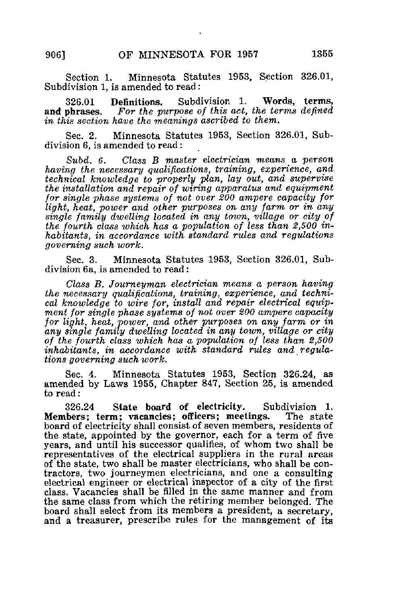Section 1. Minnesota Statutes 1953, Section 326.01, Subdivision 1, is amended to read:

326.01 Definitions, Subdivision 1. Words, terms, and phrases. For the purpose of this act, the terms defined in this section have the 'meanings ascribed to them.

Sec. 2. Minnesota Statutes 1953, Section 326.01, Subdivision 6, is amended to read:

Subd. 6. Class B master electrician means a person having the necessary qualifications, training, experience, and technical knowledge to properly plan, lay out, and supervise the installation and repair of wiring apparatus and equipment for single phase systems of not over 200 ampere capacity for light, heat, power and other purposes on any farm or in any single family dwelling located in any town, milage or city of the fourth class which has a population of less than 2,500 inhabitants, in accordance with standard rules and regulations governing such work.

Sec. 3. Minnesota Statutes 1953, Section 326.01, Subdivision 6a, is amended to read:

Class B. Journeyman electrician means a person having the necessary qualifications, training, experience, and technical knowledge to wire for, install and repair electrical equipment for single phase systems of not over 200 ampere capacity for light, heat, power, and other purposes on any farm or in any single family dwelling located in any town, village or city of the fourth class which has a population of less than 2,500 inhabitants, in accordance with standard rules and regulations governing such work.

Sec. 4. Minnesota Statutes 1953, Section 326.24, as amended by Laws 1955, Chapter 847, Section 25, is amended to read:

326.24 State board of electricity. Subdivision 1.<br>bers: term: vacancies: officers: meetings. The state Members; term; vacancies; officers; meetings. board of electricity shall consist of seven members, residents of the state, appointed by the governor, each for a term of five years, and until his successor qualifies, of whom two shall be representatives of the electrical suppliers in the rural areas of the state, two shall be master electricians, who shall be contractors, two journeymen electricians, and one a consulting electrical engineer or electrical inspector of a city of the first class. Vacancies shall be filled in the same manner and from the same class from which the retiring member belonged. The board shall select from its members a president, a secretary, and a treasurer, prescribe rules for the management of its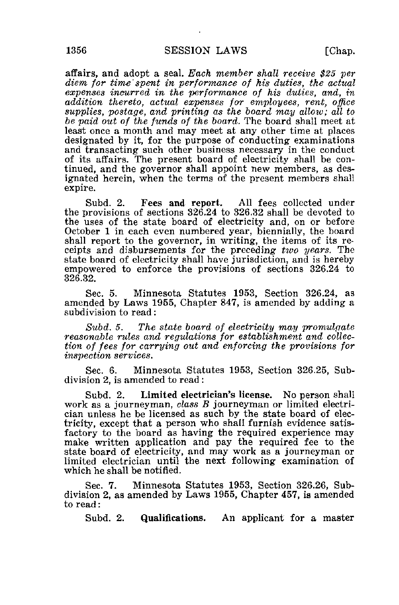affairs, and adopt a seal. Each member shall receive \$25 per diem for time spent in performance of his duties, the actual expenses incurred in the performance of his duties, and, in addition thereto, actual expenses for employees, rent, office supplies, postage, and printing as the board may allow; all to be paid out of the funds of the board. The board shall meet at least once a month and may meet at any other time at places designated by it, for the purpose of conducting examinations and transacting such other business necessary in the conduct of its affairs. The present board of electricity shall be continued, and the governor shall appoint new members, as designated herein, when the terms of the present members shall expire.

Subd. 2. Fees and report. All fees collected under the provisions of sections 326.24 to 326.32 shall be devoted to the uses of the state board of electricity and, on or before October 1 in each even numbered year, biennially, the board shall report to the governor, in writing, the items of its receipts and disbursements for the preceding two years. The state board of electricity shall have jurisdiction, and is hereby empowered to enforce the provisions of sections 326.24 to 326.32.

Sec. 5. Minnesota Statutes 1953, Section 326.24, as amended by Laws 1955, Chapter 847, is amended by adding a subdivision to read:

Subd. 5. The state board of electricity may promulgate reasonable rules and regulations for establishment and collection of fees for carrying out and enforcing the provisions for inspection services.

Sec. 6. Minnesota Statutes 1953, Section 326.25, Subdivision 2, is amended to read :

Subd. 2. Limited electrician's license. No person shall work as a journeyman, class B journeyman or limited electrician unless he be licensed as such by the state board of electricity, except that a person who shall furnish evidence satisfactory to the board as having the required experience may make written application and pay the required fee to the state board of electricity, and may work as a journeyman or limited electrician until the next following examination of which he shall be notified.

Sec. 7. Minnesota Statutes 1953, Section 326.26, Subdivision 2, as amended by Laws 1955, Chapter 457, is amended to read:

Subd. 2. Qualifications. An applicant for a master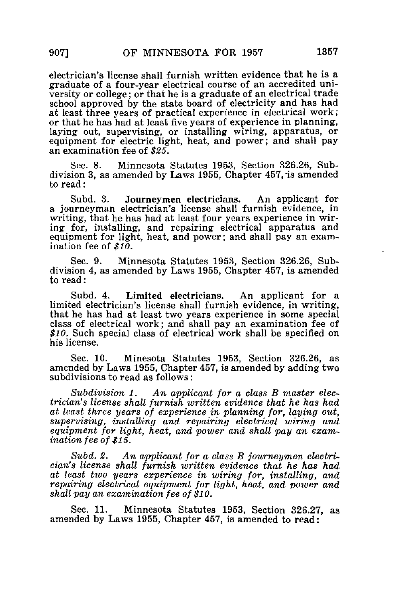electrician's license shall furnish written evidence that he is a graduate of a four-year electrical course of an accredited university or college; or that he is a graduate of an electrical trade school approved by the state board of electricity and has had at least three years of practical experience in electrical work; or that he has had at least five years of experience in planning, laying out, supervising, or installing wiring, apparatus, or equipment for electric light, heat, and power; and shall pay an examination fee of \$25.

Sec. 8. Minnesota Statutes 1953, Section 326.26, Subdivision 3, as amended by Laws 1955, Chapter 457, is amended to read:

Subd. 3. Journeymen electricians. An applicant for a journeyman electrician's license shall furnish evidence, in writing, that he has had at least four years experience in wiring for, installing, and repairing electrical apparatus and equipment for light, heat, and power; and shall pay an examination fee of  $$10$ .

Sec. 9. Minnesota Statutes 1953, Section 326.26, Subdivision 4, as amended by Laws 1955, Chapter 457, is amended to read:

Subd. 4. Limited electricians. An applicant for a limited electrician's license shall furnish evidence, in writing, that he has had at least two years experience in some special class of electrical work; and shall pay an examination fee of \$10. Such special class of electrical work shall be specified on his license.

Sec. 10. Minesota Statutes 1953, Section 326.26, as amended by Laws 1955, Chapter 457, is amended by adding two subdivisions to read as follows:

Subdivision 1. An applicant for a class B master electrician's license shall furnish written evidence that he has had at least three years of experience in planning for, laying out, supervising, installing and repairing electrical wiring and equipment for light, heat, and power and shall pay an examination fee of \$15.

Subd. 2. An applicant for a class B journeymen electrician's license shall furnish written evidence that he has had at least two years experience in wiring for, installing, and repairing electrical equipment for light, heat, and power and shall pay an examination fee of \$10.

Sec. 11. Minnesota Statutes 1953, Section 326.27, as amended by Laws 1955, Chapter 457, is amended to read: